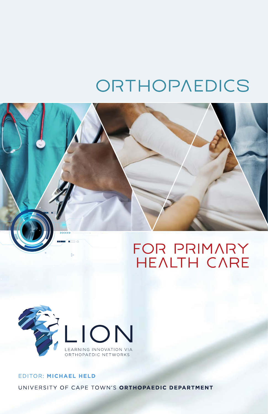# ORTHOPAEDICS





# EDITOR: MICHAEL HELD UNIVERSITY OF CAPE TOWN'S ORTHOPAEDIC DEPARTMENT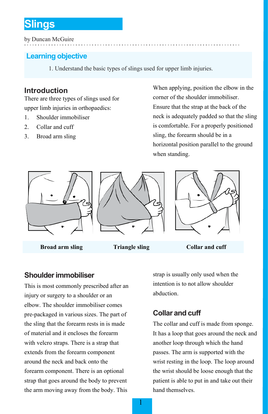# **Slings**

by Duncan McGuire

# **Learning objective**

1. Understand the basic types of slings used for upper limb injuries.

# **Introduction**

There are three types of slings used for upper limb injuries in orthopaedics:

- 1. Shoulder immobiliser
- 2. Collar and cuff
- 3. Broad arm sling

When applying, position the elbow in the corner of the shoulder immobiliser. Ensure that the strap at the back of the neck is adequately padded so that the sling is comfortable. For a properly positioned sling, the forearm should be in a horizontal position parallel to the ground when standing.



**Broad arm sling <b>Triangle sling Collar and cuff** 

# **Shoulderimmobiliser**

This is most commonly prescribed after an injury or surgery to a shoulder or an elbow. The shoulder immobiliser comes pre-packaged in various sizes. The part of the sling that the forearm rests in is made of material and it encloses the forearm with velcro straps. There is a strap that extends from the forearm component around the neck and back onto the forearm component. There is an optional strap that goes around the body to prevent the arm moving away from the body. This

strap is usually only used when the intention is to not allow shoulder abduction.

# **Collar and cuff**

The collar and cuff is made from sponge. It has a loop that goes around the neck and another loop through which the hand passes. The arm is supported with the wrist resting in the loop. The loop around the wrist should be loose enough that the patient is able to put in and take out their hand themselves.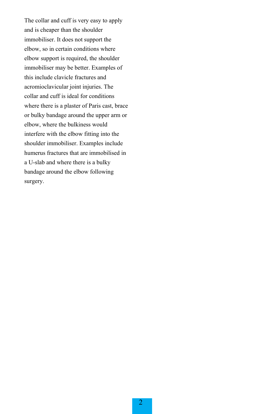The collar and cuff is very easy to apply and is cheaper than the shoulder immobiliser. It does not support the elbow, so in certain conditions where elbow support is required, the shoulder immobiliser may be better. Examples of this include clavicle fractures and acromioclavicular joint injuries. The collar and cuff is ideal for conditions where there is a plaster of Paris cast, brace or bulky bandage around the upper arm or elbow, where the bulkiness would interfere with the elbow fitting into the shoulder immobiliser. Examples include humerus fractures that are immobilised in a U-slab and where there is a bulky bandage around the elbow following surgery.